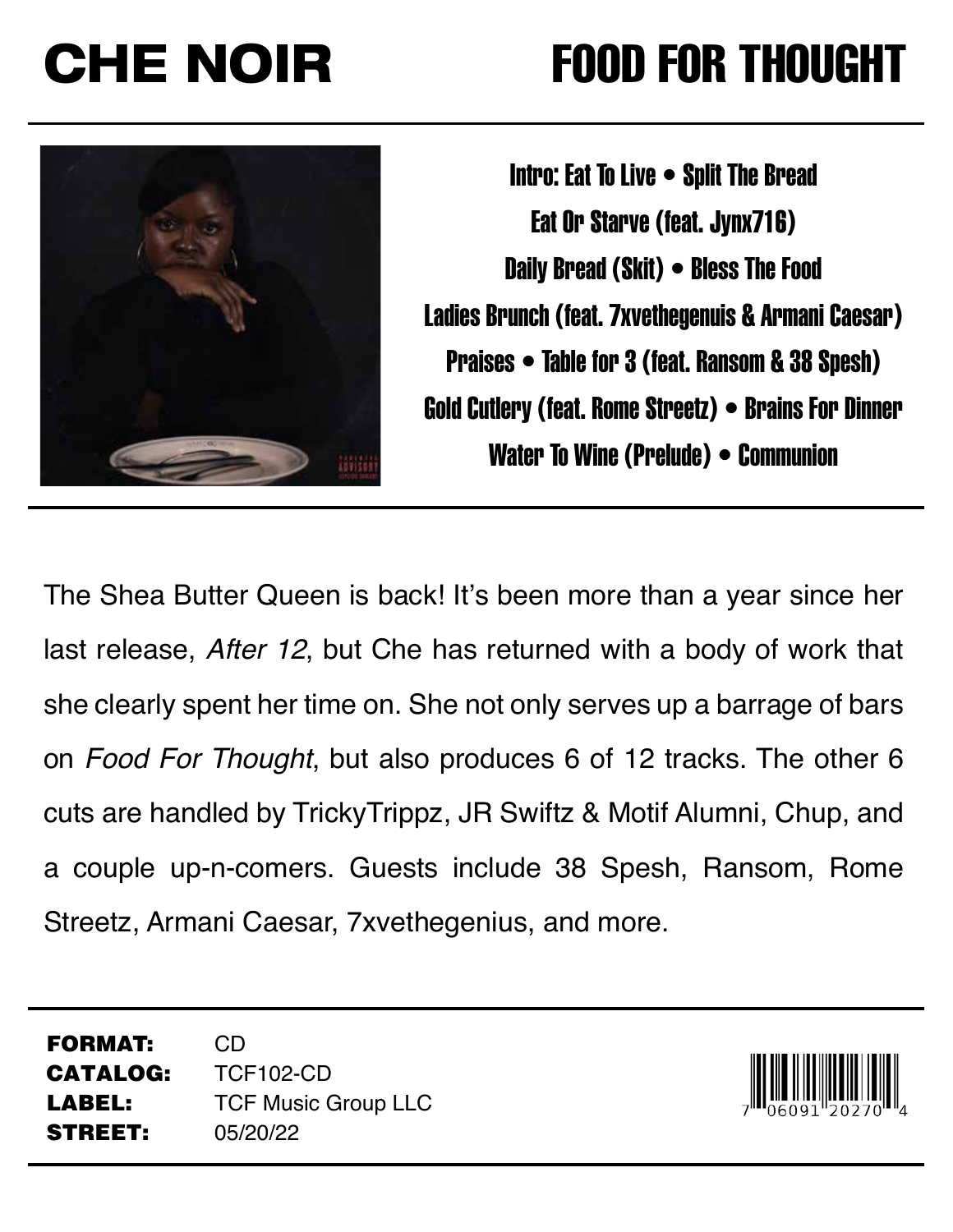## CHE NOIR FOOD FOR THOUGHT



Intro: Eat To Live • Split The Bread Eat Or Starve (feat. Jynx716) Daily Bread (Skit) • Bless The Food Ladies Brunch (feat. 7xvethegenuis & Armani Caesar) Praises • Table for 3 (feat. Ransom & 38 Spesh) Gold Cutlery (feat. Rome Streetz) • Brains For Dinner Water To Wine (Prelude) • Communion

The Shea Butter Queen is back! It's been more than a year since her last release, *After 12*, but Che has returned with a body of work that she clearly spent her time on. She not only serves up a barrage of bars on *Food For Thought*, but also produces 6 of 12 tracks. The other 6 cuts are handled by TrickyTrippz, JR Swiftz & Motif Alumni, Chup, and a couple up-n-comers. Guests include 38 Spesh, Ransom, Rome Streetz, Armani Caesar, 7xvethegenius, and more.

FORMAT: CD CATALOG: TCF102-CD LABEL: TCF Music Group LLC STREET: 05/20/22